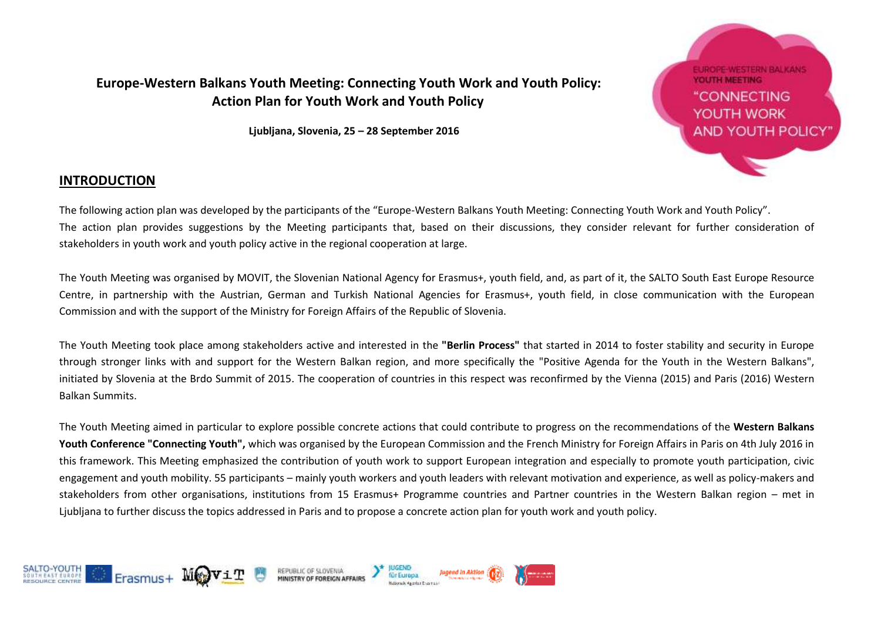#### **Europe-Western Balkans Youth Meeting: Connecting Youth Work and Youth Policy: Action Plan for Youth Work and Youth Policy**

**Ljubljana, Slovenia, 25 – 28 September 2016**



#### **INTRODUCTION**

The following action plan was developed by the participants of the "Europe-Western Balkans Youth Meeting: Connecting Youth Work and Youth Policy". The action plan provides suggestions by the Meeting participants that, based on their discussions, they consider relevant for further consideration of stakeholders in youth work and youth policy active in the regional cooperation at large.

The Youth Meeting was organised by MOVIT, the Slovenian National Agency for Erasmus+, youth field, and, as part of it, the SALTO South East Europe Resource Centre, in partnership with the Austrian, German and Turkish National Agencies for Erasmus+, youth field, in close communication with the European Commission and with the support of the Ministry for Foreign Affairs of the Republic of Slovenia.

The Youth Meeting took place among stakeholders active and interested in the **"Berlin Process"** that started in 2014 to foster stability and security in Europe through stronger links with and support for the Western Balkan region, and more specifically the "Positive Agenda for the Youth in the Western Balkans", initiated by Slovenia at the Brdo Summit of 2015. The cooperation of countries in this respect was reconfirmed by the Vienna (2015) and Paris (2016) Western Balkan Summits.

The Youth Meeting aimed in particular to explore possible concrete actions that could contribute to progress on the recommendations of the **Western Balkans Youth Conference "Connecting Youth",** which was organised by the European Commission and the French Ministry for Foreign Affairs in Paris on 4th July 2016 in this framework. This Meeting emphasized the contribution of youth work to support European integration and especially to promote youth participation, civic engagement and youth mobility. 55 participants – mainly youth workers and youth leaders with relevant motivation and experience, as well as policy-makers and stakeholders from other organisations, institutions from 15 Erasmus+ Programme countries and Partner countries in the Western Balkan region – met in Ljubljana to further discuss the topics addressed in Paris and to propose a concrete action plan for youth work and youth policy.

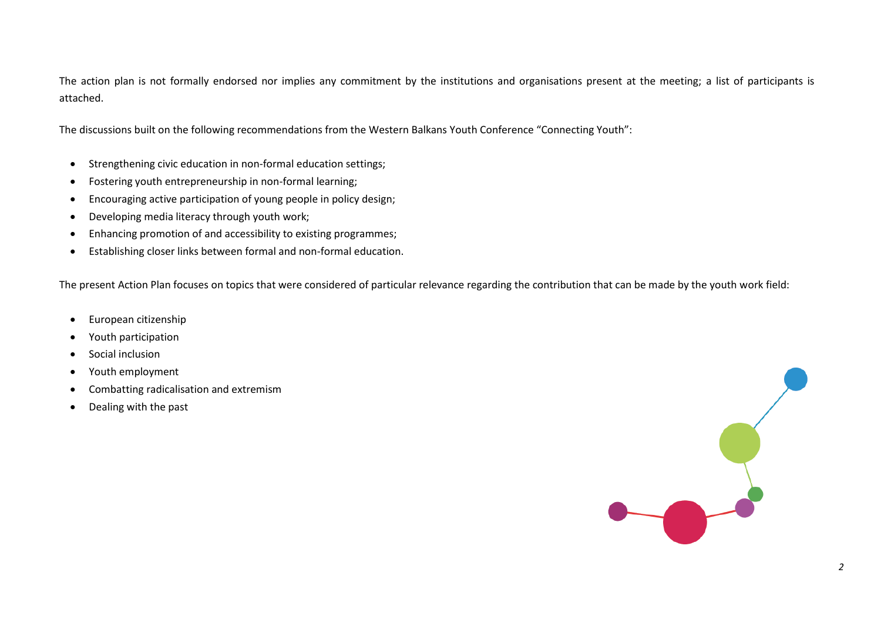The action plan is not formally endorsed nor implies any commitment by the institutions and organisations present at the meeting; a list of participants is attached.

The discussions built on the following recommendations from the Western Balkans Youth Conference "Connecting Youth":

- Strengthening civic education in non-formal education settings;
- Fostering youth entrepreneurship in non-formal learning;
- Encouraging active participation of young people in policy design;
- Developing media literacy through youth work;
- Enhancing promotion of and accessibility to existing programmes;
- Establishing closer links between formal and non-formal education.

The present Action Plan focuses on topics that were considered of particular relevance regarding the contribution that can be made by the youth work field:

- **•** European citizenship
- Youth participation
- Social inclusion
- Youth employment
- Combatting radicalisation and extremism
- Dealing with the past

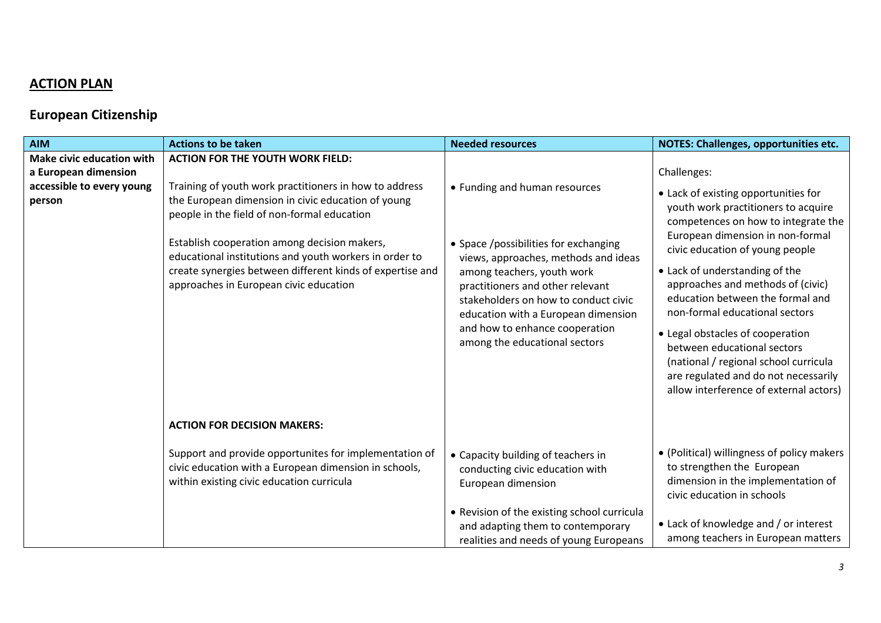# **ACTION PLAN**

# **European Citizenship**

| <b>AIM</b>                                                                                      | <b>Actions to be taken</b>                                                                                                                                                                                                                                                                                                                                                                                              | <b>Needed resources</b>                                                                                                                                                                                                                                                                                                            | NOTES: Challenges, opportunities etc.                                                                                                                                                                                                                                                                                                                                                                                                                                                                                                               |
|-------------------------------------------------------------------------------------------------|-------------------------------------------------------------------------------------------------------------------------------------------------------------------------------------------------------------------------------------------------------------------------------------------------------------------------------------------------------------------------------------------------------------------------|------------------------------------------------------------------------------------------------------------------------------------------------------------------------------------------------------------------------------------------------------------------------------------------------------------------------------------|-----------------------------------------------------------------------------------------------------------------------------------------------------------------------------------------------------------------------------------------------------------------------------------------------------------------------------------------------------------------------------------------------------------------------------------------------------------------------------------------------------------------------------------------------------|
| <b>Make civic education with</b><br>a European dimension<br>accessible to every young<br>person | <b>ACTION FOR THE YOUTH WORK FIELD:</b><br>Training of youth work practitioners in how to address<br>the European dimension in civic education of young<br>people in the field of non-formal education<br>Establish cooperation among decision makers,<br>educational institutions and youth workers in order to<br>create synergies between different kinds of expertise and<br>approaches in European civic education | • Funding and human resources<br>• Space /possibilities for exchanging<br>views, approaches, methods and ideas<br>among teachers, youth work<br>practitioners and other relevant<br>stakeholders on how to conduct civic<br>education with a European dimension<br>and how to enhance cooperation<br>among the educational sectors | Challenges:<br>• Lack of existing opportunities for<br>youth work practitioners to acquire<br>competences on how to integrate the<br>European dimension in non-formal<br>civic education of young people<br>• Lack of understanding of the<br>approaches and methods of (civic)<br>education between the formal and<br>non-formal educational sectors<br>• Legal obstacles of cooperation<br>between educational sectors<br>(national / regional school curricula<br>are regulated and do not necessarily<br>allow interference of external actors) |
|                                                                                                 | <b>ACTION FOR DECISION MAKERS:</b>                                                                                                                                                                                                                                                                                                                                                                                      |                                                                                                                                                                                                                                                                                                                                    |                                                                                                                                                                                                                                                                                                                                                                                                                                                                                                                                                     |
|                                                                                                 | Support and provide opportunites for implementation of<br>civic education with a European dimension in schools,<br>within existing civic education curricula                                                                                                                                                                                                                                                            | • Capacity building of teachers in<br>conducting civic education with<br>European dimension                                                                                                                                                                                                                                        | • (Political) willingness of policy makers<br>to strengthen the European<br>dimension in the implementation of<br>civic education in schools                                                                                                                                                                                                                                                                                                                                                                                                        |
|                                                                                                 |                                                                                                                                                                                                                                                                                                                                                                                                                         | • Revision of the existing school curricula<br>and adapting them to contemporary<br>realities and needs of young Europeans                                                                                                                                                                                                         | • Lack of knowledge and / or interest<br>among teachers in European matters                                                                                                                                                                                                                                                                                                                                                                                                                                                                         |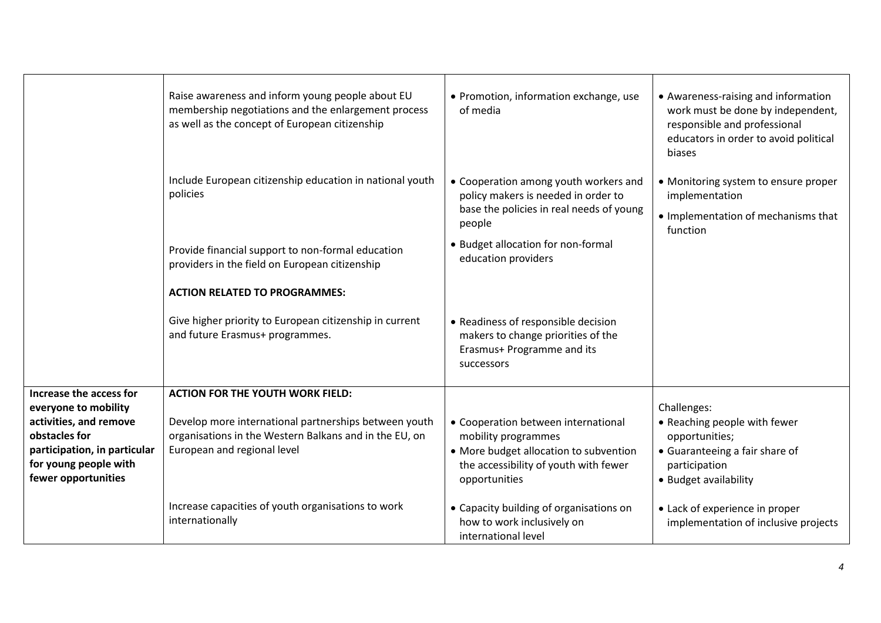|                                                                              | Raise awareness and inform young people about EU<br>membership negotiations and the enlargement process<br>as well as the concept of European citizenship | • Promotion, information exchange, use<br>of media                                                                                 | • Awareness-raising and information<br>work must be done by independent,<br>responsible and professional<br>educators in order to avoid political<br>biases |
|------------------------------------------------------------------------------|-----------------------------------------------------------------------------------------------------------------------------------------------------------|------------------------------------------------------------------------------------------------------------------------------------|-------------------------------------------------------------------------------------------------------------------------------------------------------------|
|                                                                              | Include European citizenship education in national youth<br>policies                                                                                      | • Cooperation among youth workers and<br>policy makers is needed in order to<br>base the policies in real needs of young<br>people | • Monitoring system to ensure proper<br>implementation<br>• Implementation of mechanisms that<br>function                                                   |
|                                                                              | Provide financial support to non-formal education<br>providers in the field on European citizenship                                                       | • Budget allocation for non-formal<br>education providers                                                                          |                                                                                                                                                             |
|                                                                              | <b>ACTION RELATED TO PROGRAMMES:</b>                                                                                                                      |                                                                                                                                    |                                                                                                                                                             |
|                                                                              | Give higher priority to European citizenship in current<br>and future Erasmus+ programmes.                                                                | • Readiness of responsible decision<br>makers to change priorities of the<br>Erasmus+ Programme and its<br>successors              |                                                                                                                                                             |
| Increase the access for<br>everyone to mobility                              | <b>ACTION FOR THE YOUTH WORK FIELD:</b>                                                                                                                   |                                                                                                                                    | Challenges:                                                                                                                                                 |
| activities, and remove<br>obstacles for                                      | Develop more international partnerships between youth<br>organisations in the Western Balkans and in the EU, on                                           | • Cooperation between international<br>mobility programmes                                                                         | • Reaching people with fewer<br>opportunities;                                                                                                              |
| participation, in particular<br>for young people with<br>fewer opportunities | European and regional level                                                                                                                               | • More budget allocation to subvention<br>the accessibility of youth with fewer<br>opportunities                                   | • Guaranteeing a fair share of<br>participation<br>• Budget availability                                                                                    |
|                                                                              | Increase capacities of youth organisations to work<br>internationally                                                                                     | • Capacity building of organisations on<br>how to work inclusively on<br>international level                                       | • Lack of experience in proper<br>implementation of inclusive projects                                                                                      |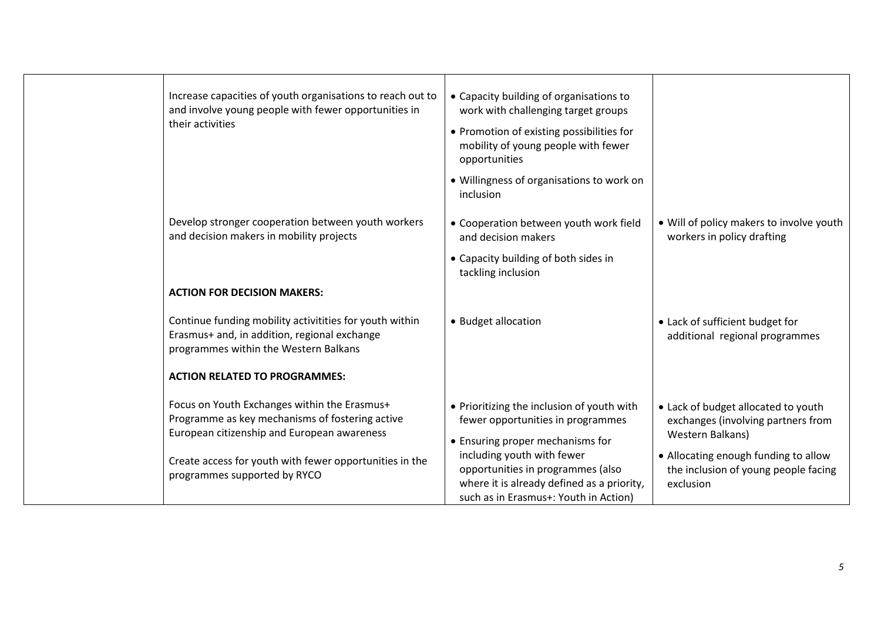| Increase capacities of youth organisations to reach out to<br>and involve young people with fewer opportunities in<br>their activities           | • Capacity building of organisations to<br>work with challenging target groups<br>• Promotion of existing possibilities for<br>mobility of young people with fewer<br>opportunities |                                                                                               |
|--------------------------------------------------------------------------------------------------------------------------------------------------|-------------------------------------------------------------------------------------------------------------------------------------------------------------------------------------|-----------------------------------------------------------------------------------------------|
| Develop stronger cooperation between youth workers<br>and decision makers in mobility projects                                                   | • Willingness of organisations to work on<br>inclusion<br>• Cooperation between youth work field<br>and decision makers                                                             | • Will of policy makers to involve youth<br>workers in policy drafting                        |
|                                                                                                                                                  | • Capacity building of both sides in<br>tackling inclusion                                                                                                                          |                                                                                               |
| <b>ACTION FOR DECISION MAKERS:</b>                                                                                                               |                                                                                                                                                                                     |                                                                                               |
| Continue funding mobility activitities for youth within<br>Erasmus+ and, in addition, regional exchange<br>programmes within the Western Balkans | • Budget allocation                                                                                                                                                                 | • Lack of sufficient budget for<br>additional regional programmes                             |
| <b>ACTION RELATED TO PROGRAMMES:</b>                                                                                                             |                                                                                                                                                                                     |                                                                                               |
| Focus on Youth Exchanges within the Erasmus+<br>Programme as key mechanisms of fostering active<br>European citizenship and European awareness   | • Prioritizing the inclusion of youth with<br>fewer opportunities in programmes<br>• Ensuring proper mechanisms for                                                                 | • Lack of budget allocated to youth<br>exchanges (involving partners from<br>Western Balkans) |
| Create access for youth with fewer opportunities in the<br>programmes supported by RYCO                                                          | including youth with fewer<br>opportunities in programmes (also<br>where it is already defined as a priority,<br>such as in Erasmus+: Youth in Action)                              | • Allocating enough funding to allow<br>the inclusion of young people facing<br>exclusion     |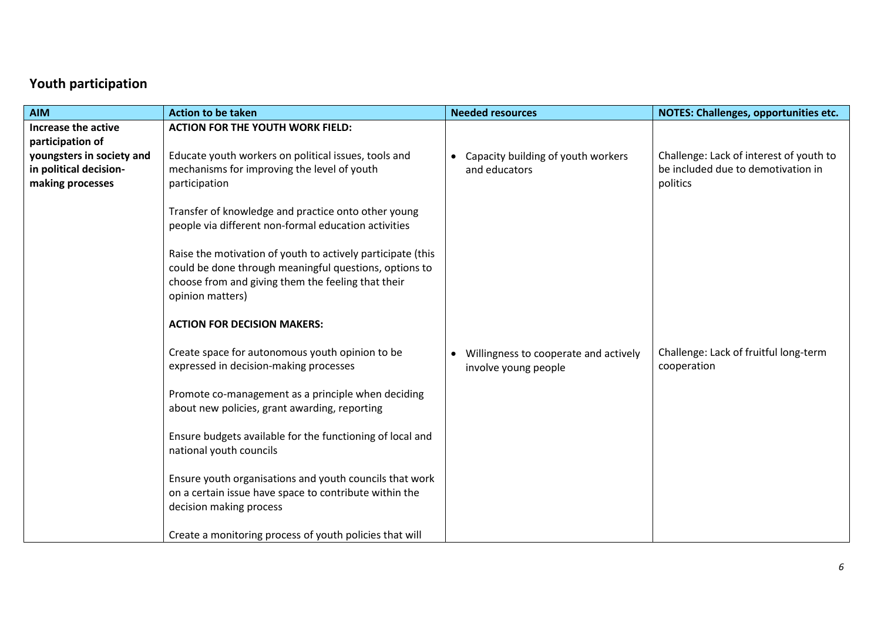# **Youth participation**

| <b>AIM</b>                                                              | <b>Action to be taken</b>                                                                                                                                                                       | <b>Needed resources</b>                                       | <b>NOTES: Challenges, opportunities etc.</b>                                              |
|-------------------------------------------------------------------------|-------------------------------------------------------------------------------------------------------------------------------------------------------------------------------------------------|---------------------------------------------------------------|-------------------------------------------------------------------------------------------|
| Increase the active<br>participation of                                 | <b>ACTION FOR THE YOUTH WORK FIELD:</b>                                                                                                                                                         |                                                               |                                                                                           |
| youngsters in society and<br>in political decision-<br>making processes | Educate youth workers on political issues, tools and<br>mechanisms for improving the level of youth<br>participation                                                                            | Capacity building of youth workers<br>and educators           | Challenge: Lack of interest of youth to<br>be included due to demotivation in<br>politics |
|                                                                         | Transfer of knowledge and practice onto other young<br>people via different non-formal education activities                                                                                     |                                                               |                                                                                           |
|                                                                         | Raise the motivation of youth to actively participate (this<br>could be done through meaningful questions, options to<br>choose from and giving them the feeling that their<br>opinion matters) |                                                               |                                                                                           |
|                                                                         | <b>ACTION FOR DECISION MAKERS:</b>                                                                                                                                                              |                                                               |                                                                                           |
|                                                                         | Create space for autonomous youth opinion to be<br>expressed in decision-making processes                                                                                                       | Willingness to cooperate and actively<br>involve young people | Challenge: Lack of fruitful long-term<br>cooperation                                      |
|                                                                         | Promote co-management as a principle when deciding<br>about new policies, grant awarding, reporting                                                                                             |                                                               |                                                                                           |
|                                                                         | Ensure budgets available for the functioning of local and<br>national youth councils                                                                                                            |                                                               |                                                                                           |
|                                                                         | Ensure youth organisations and youth councils that work<br>on a certain issue have space to contribute within the<br>decision making process                                                    |                                                               |                                                                                           |
|                                                                         | Create a monitoring process of youth policies that will                                                                                                                                         |                                                               |                                                                                           |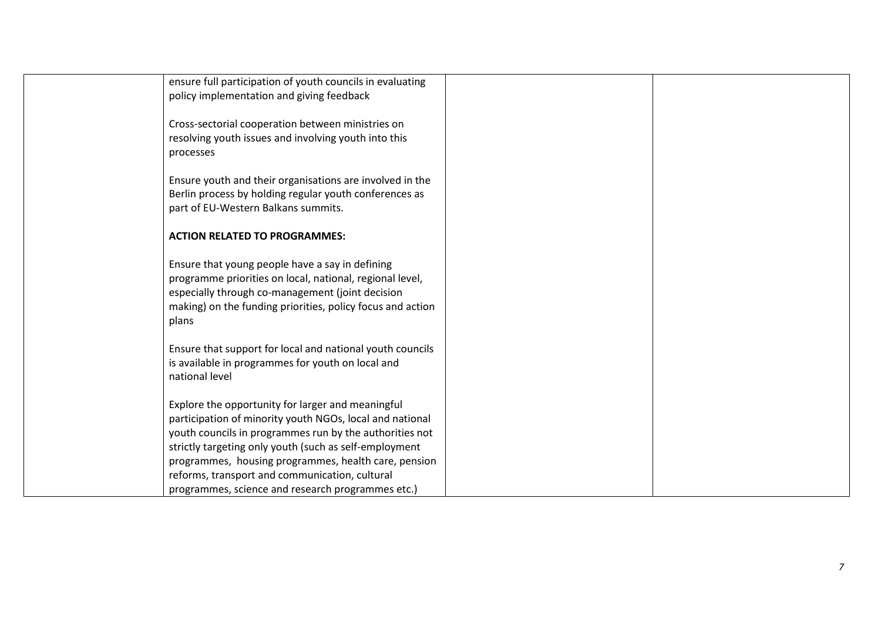| ensure full participation of youth councils in evaluating<br>policy implementation and giving feedback              |  |
|---------------------------------------------------------------------------------------------------------------------|--|
|                                                                                                                     |  |
| Cross-sectorial cooperation between ministries on                                                                   |  |
| resolving youth issues and involving youth into this                                                                |  |
| processes                                                                                                           |  |
| Ensure youth and their organisations are involved in the                                                            |  |
| Berlin process by holding regular youth conferences as                                                              |  |
| part of EU-Western Balkans summits.                                                                                 |  |
| <b>ACTION RELATED TO PROGRAMMES:</b>                                                                                |  |
|                                                                                                                     |  |
| Ensure that young people have a say in defining                                                                     |  |
| programme priorities on local, national, regional level,                                                            |  |
| especially through co-management (joint decision<br>making) on the funding priorities, policy focus and action      |  |
| plans                                                                                                               |  |
|                                                                                                                     |  |
| Ensure that support for local and national youth councils                                                           |  |
| is available in programmes for youth on local and                                                                   |  |
| national level                                                                                                      |  |
|                                                                                                                     |  |
| Explore the opportunity for larger and meaningful                                                                   |  |
| participation of minority youth NGOs, local and national<br>youth councils in programmes run by the authorities not |  |
| strictly targeting only youth (such as self-employment                                                              |  |
| programmes, housing programmes, health care, pension                                                                |  |
| reforms, transport and communication, cultural                                                                      |  |
| programmes, science and research programmes etc.)                                                                   |  |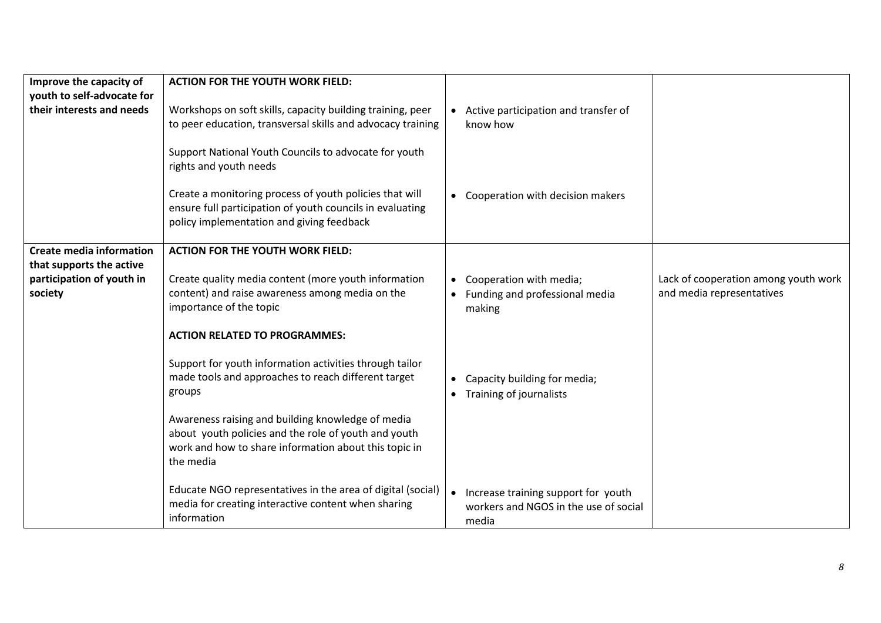| Improve the capacity of         | <b>ACTION FOR THE YOUTH WORK FIELD:</b>                                                                                                                           |           |                                        |                                      |
|---------------------------------|-------------------------------------------------------------------------------------------------------------------------------------------------------------------|-----------|----------------------------------------|--------------------------------------|
| youth to self-advocate for      |                                                                                                                                                                   |           |                                        |                                      |
| their interests and needs       | Workshops on soft skills, capacity building training, peer                                                                                                        |           | • Active participation and transfer of |                                      |
|                                 | to peer education, transversal skills and advocacy training                                                                                                       |           | know how                               |                                      |
|                                 |                                                                                                                                                                   |           |                                        |                                      |
|                                 | Support National Youth Councils to advocate for youth<br>rights and youth needs                                                                                   |           |                                        |                                      |
|                                 | Create a monitoring process of youth policies that will<br>ensure full participation of youth councils in evaluating<br>policy implementation and giving feedback |           | • Cooperation with decision makers     |                                      |
| <b>Create media information</b> | <b>ACTION FOR THE YOUTH WORK FIELD:</b>                                                                                                                           |           |                                        |                                      |
| that supports the active        |                                                                                                                                                                   |           |                                        |                                      |
|                                 |                                                                                                                                                                   |           |                                        |                                      |
| participation of youth in       | Create quality media content (more youth information                                                                                                              |           | Cooperation with media;                | Lack of cooperation among youth work |
| society                         | content) and raise awareness among media on the                                                                                                                   |           | • Funding and professional media       | and media representatives            |
|                                 | importance of the topic                                                                                                                                           |           | making                                 |                                      |
|                                 |                                                                                                                                                                   |           |                                        |                                      |
|                                 | <b>ACTION RELATED TO PROGRAMMES:</b>                                                                                                                              |           |                                        |                                      |
|                                 |                                                                                                                                                                   |           |                                        |                                      |
|                                 | Support for youth information activities through tailor                                                                                                           |           |                                        |                                      |
|                                 | made tools and approaches to reach different target                                                                                                               |           | Capacity building for media;           |                                      |
|                                 | groups                                                                                                                                                            | $\bullet$ | Training of journalists                |                                      |
|                                 |                                                                                                                                                                   |           |                                        |                                      |
|                                 | Awareness raising and building knowledge of media                                                                                                                 |           |                                        |                                      |
|                                 | about youth policies and the role of youth and youth                                                                                                              |           |                                        |                                      |
|                                 | work and how to share information about this topic in                                                                                                             |           |                                        |                                      |
|                                 | the media                                                                                                                                                         |           |                                        |                                      |
|                                 |                                                                                                                                                                   |           |                                        |                                      |
|                                 | Educate NGO representatives in the area of digital (social)                                                                                                       |           |                                        |                                      |
|                                 | media for creating interactive content when sharing                                                                                                               |           | Increase training support for youth    |                                      |
|                                 | information                                                                                                                                                       |           | workers and NGOS in the use of social  |                                      |
|                                 |                                                                                                                                                                   |           | media                                  |                                      |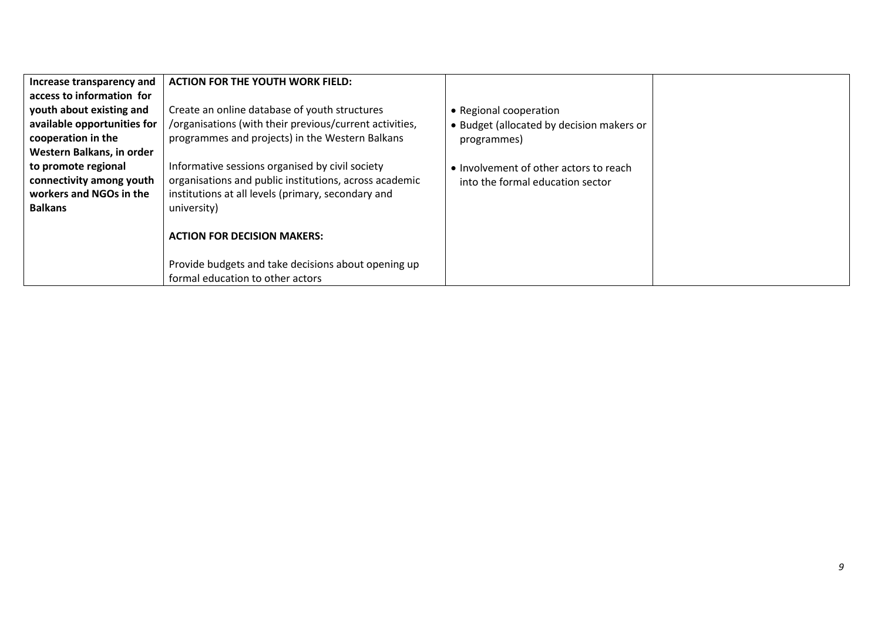| Increase transparency and   | <b>ACTION FOR THE YOUTH WORK FIELD:</b>                 |                                           |  |
|-----------------------------|---------------------------------------------------------|-------------------------------------------|--|
| access to information for   |                                                         |                                           |  |
| youth about existing and    | Create an online database of youth structures           | • Regional cooperation                    |  |
| available opportunities for | /organisations (with their previous/current activities, | • Budget (allocated by decision makers or |  |
| cooperation in the          | programmes and projects) in the Western Balkans         | programmes)                               |  |
| Western Balkans, in order   |                                                         |                                           |  |
| to promote regional         | Informative sessions organised by civil society         | • Involvement of other actors to reach    |  |
| connectivity among youth    | organisations and public institutions, across academic  | into the formal education sector          |  |
| workers and NGOs in the     | institutions at all levels (primary, secondary and      |                                           |  |
| <b>Balkans</b>              | university)                                             |                                           |  |
|                             |                                                         |                                           |  |
|                             | <b>ACTION FOR DECISION MAKERS:</b>                      |                                           |  |
|                             |                                                         |                                           |  |
|                             | Provide budgets and take decisions about opening up     |                                           |  |
|                             | formal education to other actors                        |                                           |  |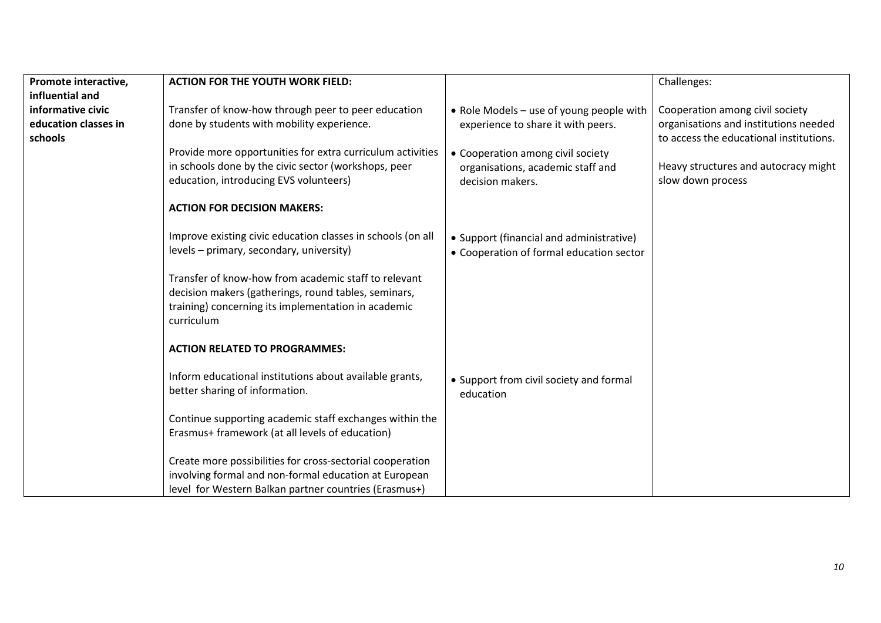|                                                     |                                                                                                                                                                                                                                                                                                                                                                                                                                                                                                                                                                                                                                                                                                                                                                                                                                                                                                                                                                                                                               | Challenges:                                                                                                                                                                                                                                                                      |
|-----------------------------------------------------|-------------------------------------------------------------------------------------------------------------------------------------------------------------------------------------------------------------------------------------------------------------------------------------------------------------------------------------------------------------------------------------------------------------------------------------------------------------------------------------------------------------------------------------------------------------------------------------------------------------------------------------------------------------------------------------------------------------------------------------------------------------------------------------------------------------------------------------------------------------------------------------------------------------------------------------------------------------------------------------------------------------------------------|----------------------------------------------------------------------------------------------------------------------------------------------------------------------------------------------------------------------------------------------------------------------------------|
|                                                     |                                                                                                                                                                                                                                                                                                                                                                                                                                                                                                                                                                                                                                                                                                                                                                                                                                                                                                                                                                                                                               |                                                                                                                                                                                                                                                                                  |
| Transfer of know-how through peer to peer education | • Role Models - use of young people with                                                                                                                                                                                                                                                                                                                                                                                                                                                                                                                                                                                                                                                                                                                                                                                                                                                                                                                                                                                      | Cooperation among civil society                                                                                                                                                                                                                                                  |
|                                                     |                                                                                                                                                                                                                                                                                                                                                                                                                                                                                                                                                                                                                                                                                                                                                                                                                                                                                                                                                                                                                               | organisations and institutions needed                                                                                                                                                                                                                                            |
|                                                     |                                                                                                                                                                                                                                                                                                                                                                                                                                                                                                                                                                                                                                                                                                                                                                                                                                                                                                                                                                                                                               | to access the educational institutions.                                                                                                                                                                                                                                          |
|                                                     |                                                                                                                                                                                                                                                                                                                                                                                                                                                                                                                                                                                                                                                                                                                                                                                                                                                                                                                                                                                                                               |                                                                                                                                                                                                                                                                                  |
|                                                     |                                                                                                                                                                                                                                                                                                                                                                                                                                                                                                                                                                                                                                                                                                                                                                                                                                                                                                                                                                                                                               | Heavy structures and autocracy might                                                                                                                                                                                                                                             |
|                                                     |                                                                                                                                                                                                                                                                                                                                                                                                                                                                                                                                                                                                                                                                                                                                                                                                                                                                                                                                                                                                                               |                                                                                                                                                                                                                                                                                  |
|                                                     |                                                                                                                                                                                                                                                                                                                                                                                                                                                                                                                                                                                                                                                                                                                                                                                                                                                                                                                                                                                                                               | slow down process                                                                                                                                                                                                                                                                |
|                                                     |                                                                                                                                                                                                                                                                                                                                                                                                                                                                                                                                                                                                                                                                                                                                                                                                                                                                                                                                                                                                                               |                                                                                                                                                                                                                                                                                  |
|                                                     |                                                                                                                                                                                                                                                                                                                                                                                                                                                                                                                                                                                                                                                                                                                                                                                                                                                                                                                                                                                                                               |                                                                                                                                                                                                                                                                                  |
|                                                     |                                                                                                                                                                                                                                                                                                                                                                                                                                                                                                                                                                                                                                                                                                                                                                                                                                                                                                                                                                                                                               |                                                                                                                                                                                                                                                                                  |
|                                                     |                                                                                                                                                                                                                                                                                                                                                                                                                                                                                                                                                                                                                                                                                                                                                                                                                                                                                                                                                                                                                               |                                                                                                                                                                                                                                                                                  |
|                                                     |                                                                                                                                                                                                                                                                                                                                                                                                                                                                                                                                                                                                                                                                                                                                                                                                                                                                                                                                                                                                                               |                                                                                                                                                                                                                                                                                  |
|                                                     |                                                                                                                                                                                                                                                                                                                                                                                                                                                                                                                                                                                                                                                                                                                                                                                                                                                                                                                                                                                                                               |                                                                                                                                                                                                                                                                                  |
|                                                     |                                                                                                                                                                                                                                                                                                                                                                                                                                                                                                                                                                                                                                                                                                                                                                                                                                                                                                                                                                                                                               |                                                                                                                                                                                                                                                                                  |
|                                                     |                                                                                                                                                                                                                                                                                                                                                                                                                                                                                                                                                                                                                                                                                                                                                                                                                                                                                                                                                                                                                               |                                                                                                                                                                                                                                                                                  |
|                                                     |                                                                                                                                                                                                                                                                                                                                                                                                                                                                                                                                                                                                                                                                                                                                                                                                                                                                                                                                                                                                                               |                                                                                                                                                                                                                                                                                  |
|                                                     |                                                                                                                                                                                                                                                                                                                                                                                                                                                                                                                                                                                                                                                                                                                                                                                                                                                                                                                                                                                                                               |                                                                                                                                                                                                                                                                                  |
|                                                     |                                                                                                                                                                                                                                                                                                                                                                                                                                                                                                                                                                                                                                                                                                                                                                                                                                                                                                                                                                                                                               |                                                                                                                                                                                                                                                                                  |
|                                                     |                                                                                                                                                                                                                                                                                                                                                                                                                                                                                                                                                                                                                                                                                                                                                                                                                                                                                                                                                                                                                               |                                                                                                                                                                                                                                                                                  |
|                                                     |                                                                                                                                                                                                                                                                                                                                                                                                                                                                                                                                                                                                                                                                                                                                                                                                                                                                                                                                                                                                                               |                                                                                                                                                                                                                                                                                  |
|                                                     |                                                                                                                                                                                                                                                                                                                                                                                                                                                                                                                                                                                                                                                                                                                                                                                                                                                                                                                                                                                                                               |                                                                                                                                                                                                                                                                                  |
|                                                     |                                                                                                                                                                                                                                                                                                                                                                                                                                                                                                                                                                                                                                                                                                                                                                                                                                                                                                                                                                                                                               |                                                                                                                                                                                                                                                                                  |
|                                                     |                                                                                                                                                                                                                                                                                                                                                                                                                                                                                                                                                                                                                                                                                                                                                                                                                                                                                                                                                                                                                               |                                                                                                                                                                                                                                                                                  |
|                                                     |                                                                                                                                                                                                                                                                                                                                                                                                                                                                                                                                                                                                                                                                                                                                                                                                                                                                                                                                                                                                                               |                                                                                                                                                                                                                                                                                  |
|                                                     |                                                                                                                                                                                                                                                                                                                                                                                                                                                                                                                                                                                                                                                                                                                                                                                                                                                                                                                                                                                                                               |                                                                                                                                                                                                                                                                                  |
|                                                     |                                                                                                                                                                                                                                                                                                                                                                                                                                                                                                                                                                                                                                                                                                                                                                                                                                                                                                                                                                                                                               |                                                                                                                                                                                                                                                                                  |
|                                                     |                                                                                                                                                                                                                                                                                                                                                                                                                                                                                                                                                                                                                                                                                                                                                                                                                                                                                                                                                                                                                               |                                                                                                                                                                                                                                                                                  |
|                                                     |                                                                                                                                                                                                                                                                                                                                                                                                                                                                                                                                                                                                                                                                                                                                                                                                                                                                                                                                                                                                                               |                                                                                                                                                                                                                                                                                  |
|                                                     | <b>ACTION FOR THE YOUTH WORK FIELD:</b><br>done by students with mobility experience.<br>Provide more opportunities for extra curriculum activities<br>in schools done by the civic sector (workshops, peer<br>education, introducing EVS volunteers)<br><b>ACTION FOR DECISION MAKERS:</b><br>Improve existing civic education classes in schools (on all<br>levels - primary, secondary, university)<br>Transfer of know-how from academic staff to relevant<br>decision makers (gatherings, round tables, seminars,<br>training) concerning its implementation in academic<br>curriculum<br><b>ACTION RELATED TO PROGRAMMES:</b><br>Inform educational institutions about available grants,<br>better sharing of information.<br>Continue supporting academic staff exchanges within the<br>Erasmus+ framework (at all levels of education)<br>Create more possibilities for cross-sectorial cooperation<br>involving formal and non-formal education at European<br>level for Western Balkan partner countries (Erasmus+) | experience to share it with peers.<br>• Cooperation among civil society<br>organisations, academic staff and<br>decision makers.<br>• Support (financial and administrative)<br>• Cooperation of formal education sector<br>• Support from civil society and formal<br>education |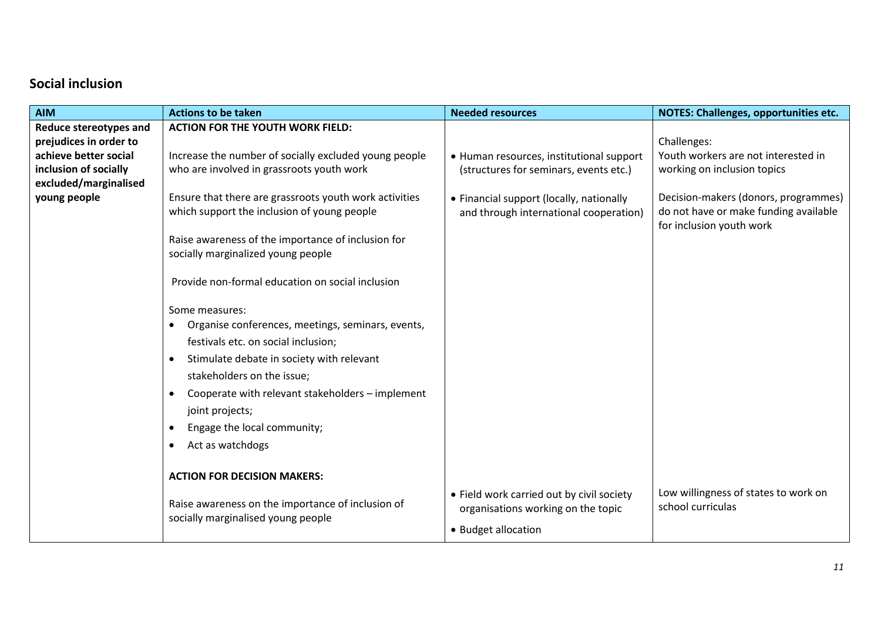### **Social inclusion**

| <b>AIM</b>                    | <b>Actions to be taken</b>                                                              | <b>Needed resources</b>                   | <b>NOTES: Challenges, opportunities etc.</b>                      |
|-------------------------------|-----------------------------------------------------------------------------------------|-------------------------------------------|-------------------------------------------------------------------|
| <b>Reduce stereotypes and</b> | <b>ACTION FOR THE YOUTH WORK FIELD:</b>                                                 |                                           |                                                                   |
| prejudices in order to        |                                                                                         |                                           | Challenges:                                                       |
| achieve better social         | Increase the number of socially excluded young people                                   | • Human resources, institutional support  | Youth workers are not interested in                               |
| inclusion of socially         | who are involved in grassroots youth work                                               | (structures for seminars, events etc.)    | working on inclusion topics                                       |
| excluded/marginalised         |                                                                                         |                                           |                                                                   |
| young people                  | Ensure that there are grassroots youth work activities                                  | • Financial support (locally, nationally  | Decision-makers (donors, programmes)                              |
|                               | which support the inclusion of young people                                             | and through international cooperation)    | do not have or make funding available<br>for inclusion youth work |
|                               | Raise awareness of the importance of inclusion for                                      |                                           |                                                                   |
|                               | socially marginalized young people                                                      |                                           |                                                                   |
|                               |                                                                                         |                                           |                                                                   |
|                               | Provide non-formal education on social inclusion                                        |                                           |                                                                   |
|                               |                                                                                         |                                           |                                                                   |
|                               | Some measures:                                                                          |                                           |                                                                   |
|                               | Organise conferences, meetings, seminars, events,                                       |                                           |                                                                   |
|                               | festivals etc. on social inclusion;                                                     |                                           |                                                                   |
|                               | Stimulate debate in society with relevant                                               |                                           |                                                                   |
|                               | stakeholders on the issue;                                                              |                                           |                                                                   |
|                               | Cooperate with relevant stakeholders - implement                                        |                                           |                                                                   |
|                               | joint projects;                                                                         |                                           |                                                                   |
|                               |                                                                                         |                                           |                                                                   |
|                               | Engage the local community;                                                             |                                           |                                                                   |
|                               | Act as watchdogs                                                                        |                                           |                                                                   |
|                               |                                                                                         |                                           |                                                                   |
|                               | <b>ACTION FOR DECISION MAKERS:</b>                                                      |                                           |                                                                   |
|                               |                                                                                         | • Field work carried out by civil society | Low willingness of states to work on                              |
|                               | Raise awareness on the importance of inclusion of<br>socially marginalised young people | organisations working on the topic        | school curriculas                                                 |
|                               |                                                                                         | • Budget allocation                       |                                                                   |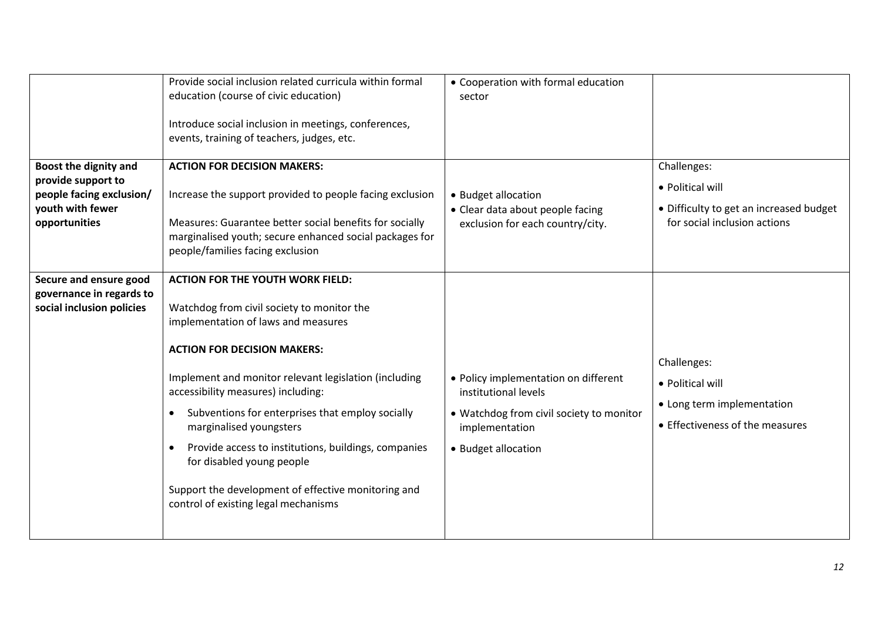|                                                                                                              | Provide social inclusion related curricula within formal<br>education (course of civic education)<br>Introduce social inclusion in meetings, conferences,<br>events, training of teachers, judges, etc.                                                                                                                                                                                                                                                                                                                              | • Cooperation with formal education<br>sector                                                                                                     |                                                                                                            |
|--------------------------------------------------------------------------------------------------------------|--------------------------------------------------------------------------------------------------------------------------------------------------------------------------------------------------------------------------------------------------------------------------------------------------------------------------------------------------------------------------------------------------------------------------------------------------------------------------------------------------------------------------------------|---------------------------------------------------------------------------------------------------------------------------------------------------|------------------------------------------------------------------------------------------------------------|
| Boost the dignity and<br>provide support to<br>people facing exclusion/<br>youth with fewer<br>opportunities | <b>ACTION FOR DECISION MAKERS:</b><br>Increase the support provided to people facing exclusion<br>Measures: Guarantee better social benefits for socially<br>marginalised youth; secure enhanced social packages for<br>people/families facing exclusion                                                                                                                                                                                                                                                                             | • Budget allocation<br>• Clear data about people facing<br>exclusion for each country/city.                                                       | Challenges:<br>• Political will<br>• Difficulty to get an increased budget<br>for social inclusion actions |
| Secure and ensure good<br>governance in regards to<br>social inclusion policies                              | <b>ACTION FOR THE YOUTH WORK FIELD:</b><br>Watchdog from civil society to monitor the<br>implementation of laws and measures<br><b>ACTION FOR DECISION MAKERS:</b><br>Implement and monitor relevant legislation (including<br>accessibility measures) including:<br>Subventions for enterprises that employ socially<br>marginalised youngsters<br>Provide access to institutions, buildings, companies<br>for disabled young people<br>Support the development of effective monitoring and<br>control of existing legal mechanisms | • Policy implementation on different<br>institutional levels<br>• Watchdog from civil society to monitor<br>implementation<br>• Budget allocation | Challenges:<br>• Political will<br>• Long term implementation<br>• Effectiveness of the measures           |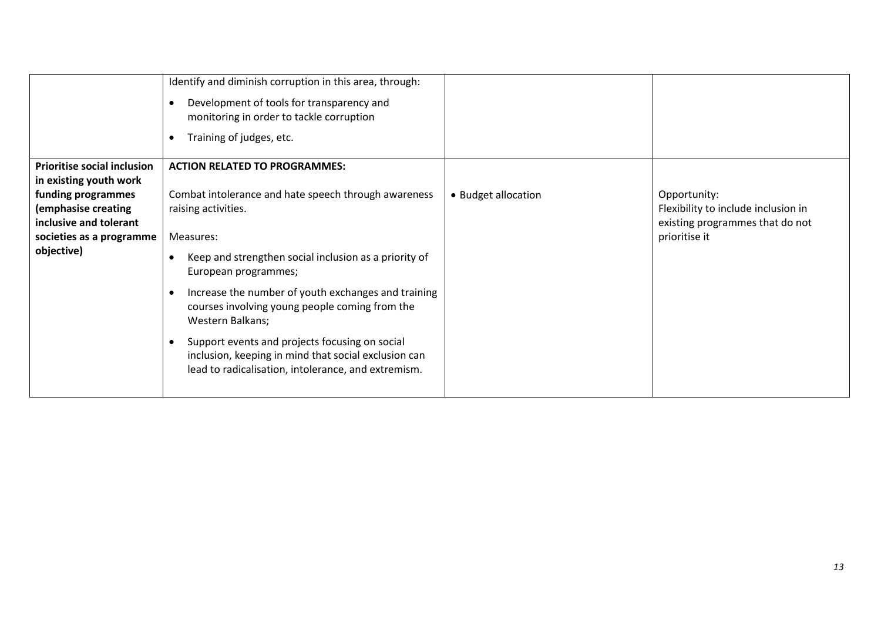|                                                                                                                                                                        | Identify and diminish corruption in this area, through:<br>Development of tools for transparency and<br>monitoring in order to tackle corruption<br>Training of judges, etc.                                                                                                                                                                                                                                                                                                                                    |                     |                                                                                                         |
|------------------------------------------------------------------------------------------------------------------------------------------------------------------------|-----------------------------------------------------------------------------------------------------------------------------------------------------------------------------------------------------------------------------------------------------------------------------------------------------------------------------------------------------------------------------------------------------------------------------------------------------------------------------------------------------------------|---------------------|---------------------------------------------------------------------------------------------------------|
| Prioritise social inclusion<br>in existing youth work<br>funding programmes<br>(emphasise creating<br>inclusive and tolerant<br>societies as a programme<br>objective) | <b>ACTION RELATED TO PROGRAMMES:</b><br>Combat intolerance and hate speech through awareness<br>raising activities.<br>Measures:<br>Keep and strengthen social inclusion as a priority of<br>European programmes;<br>Increase the number of youth exchanges and training<br>courses involving young people coming from the<br>Western Balkans;<br>Support events and projects focusing on social<br>inclusion, keeping in mind that social exclusion can<br>lead to radicalisation, intolerance, and extremism. | • Budget allocation | Opportunity:<br>Flexibility to include inclusion in<br>existing programmes that do not<br>prioritise it |
|                                                                                                                                                                        |                                                                                                                                                                                                                                                                                                                                                                                                                                                                                                                 |                     |                                                                                                         |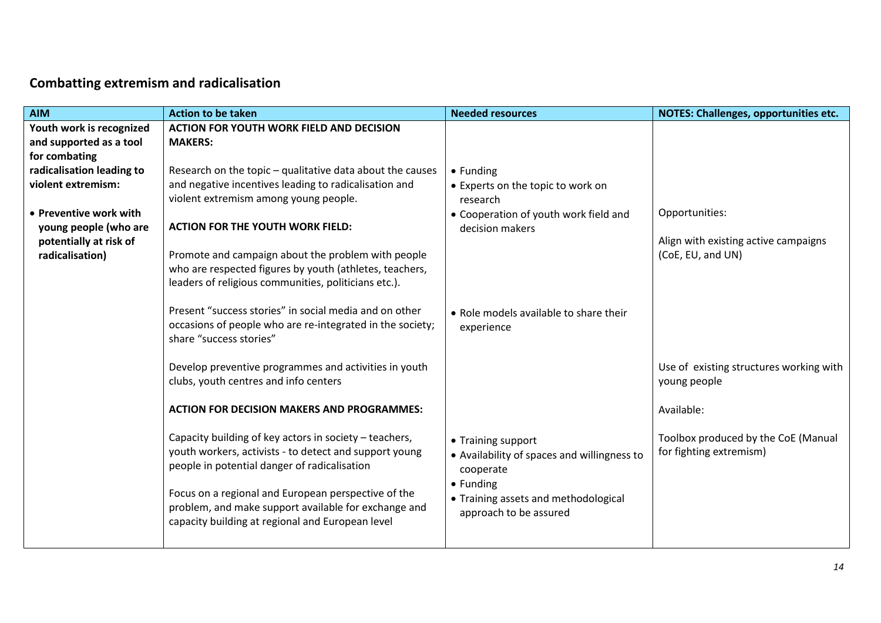## **Combatting extremism and radicalisation**

| <b>AIM</b>                | <b>Action to be taken</b>                                 | <b>Needed resources</b>                     | NOTES: Challenges, opportunities etc.   |
|---------------------------|-----------------------------------------------------------|---------------------------------------------|-----------------------------------------|
| Youth work is recognized  | <b>ACTION FOR YOUTH WORK FIELD AND DECISION</b>           |                                             |                                         |
| and supported as a tool   | <b>MAKERS:</b>                                            |                                             |                                         |
| for combating             |                                                           |                                             |                                         |
| radicalisation leading to | Research on the topic - qualitative data about the causes | $\bullet$ Funding                           |                                         |
| violent extremism:        | and negative incentives leading to radicalisation and     | • Experts on the topic to work on           |                                         |
|                           | violent extremism among young people.                     | research                                    |                                         |
| • Preventive work with    |                                                           | • Cooperation of youth work field and       | Opportunities:                          |
| young people (who are     | <b>ACTION FOR THE YOUTH WORK FIELD:</b>                   | decision makers                             |                                         |
| potentially at risk of    |                                                           |                                             | Align with existing active campaigns    |
| radicalisation)           | Promote and campaign about the problem with people        |                                             | (CoE, EU, and UN)                       |
|                           | who are respected figures by youth (athletes, teachers,   |                                             |                                         |
|                           | leaders of religious communities, politicians etc.).      |                                             |                                         |
|                           | Present "success stories" in social media and on other    | • Role models available to share their      |                                         |
|                           | occasions of people who are re-integrated in the society; |                                             |                                         |
|                           | share "success stories"                                   | experience                                  |                                         |
|                           |                                                           |                                             |                                         |
|                           | Develop preventive programmes and activities in youth     |                                             | Use of existing structures working with |
|                           | clubs, youth centres and info centers                     |                                             | young people                            |
|                           |                                                           |                                             |                                         |
|                           | <b>ACTION FOR DECISION MAKERS AND PROGRAMMES:</b>         |                                             | Available:                              |
|                           |                                                           |                                             |                                         |
|                           | Capacity building of key actors in society - teachers,    | • Training support                          | Toolbox produced by the CoE (Manual     |
|                           | youth workers, activists - to detect and support young    | • Availability of spaces and willingness to | for fighting extremism)                 |
|                           | people in potential danger of radicalisation              | cooperate                                   |                                         |
|                           |                                                           | • Funding                                   |                                         |
|                           | Focus on a regional and European perspective of the       | • Training assets and methodological        |                                         |
|                           | problem, and make support available for exchange and      | approach to be assured                      |                                         |
|                           | capacity building at regional and European level          |                                             |                                         |
|                           |                                                           |                                             |                                         |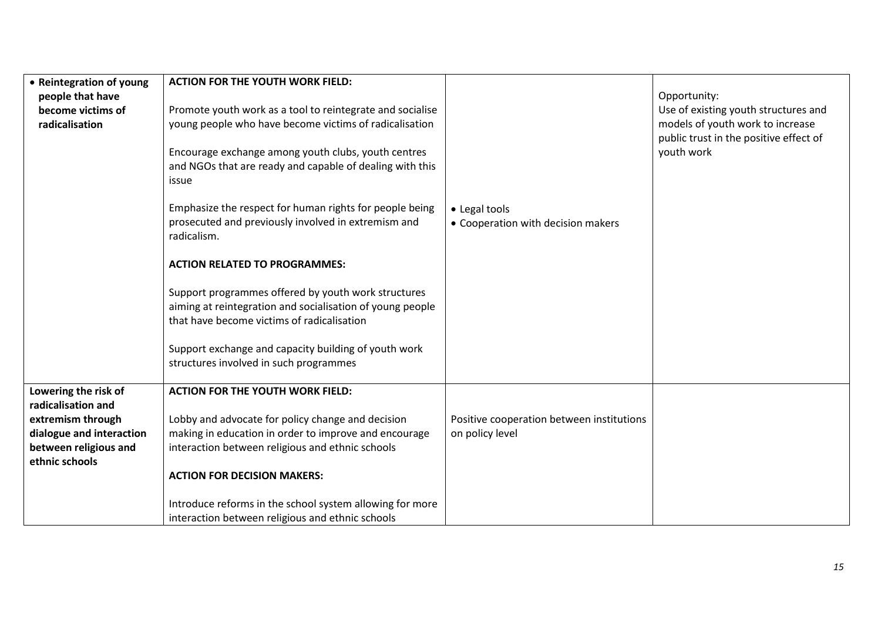| • Reintegration of young | <b>ACTION FOR THE YOUTH WORK FIELD:</b>                   |                                           |                                        |
|--------------------------|-----------------------------------------------------------|-------------------------------------------|----------------------------------------|
|                          |                                                           |                                           |                                        |
| people that have         |                                                           |                                           | Opportunity:                           |
| become victims of        | Promote youth work as a tool to reintegrate and socialise |                                           | Use of existing youth structures and   |
| radicalisation           | young people who have become victims of radicalisation    |                                           | models of youth work to increase       |
|                          |                                                           |                                           | public trust in the positive effect of |
|                          | Encourage exchange among youth clubs, youth centres       |                                           | youth work                             |
|                          | and NGOs that are ready and capable of dealing with this  |                                           |                                        |
|                          | issue                                                     |                                           |                                        |
|                          |                                                           |                                           |                                        |
|                          |                                                           |                                           |                                        |
|                          | Emphasize the respect for human rights for people being   | • Legal tools                             |                                        |
|                          | prosecuted and previously involved in extremism and       | • Cooperation with decision makers        |                                        |
|                          | radicalism.                                               |                                           |                                        |
|                          |                                                           |                                           |                                        |
|                          | <b>ACTION RELATED TO PROGRAMMES:</b>                      |                                           |                                        |
|                          |                                                           |                                           |                                        |
|                          | Support programmes offered by youth work structures       |                                           |                                        |
|                          | aiming at reintegration and socialisation of young people |                                           |                                        |
|                          |                                                           |                                           |                                        |
|                          | that have become victims of radicalisation                |                                           |                                        |
|                          |                                                           |                                           |                                        |
|                          | Support exchange and capacity building of youth work      |                                           |                                        |
|                          | structures involved in such programmes                    |                                           |                                        |
|                          |                                                           |                                           |                                        |
| Lowering the risk of     | <b>ACTION FOR THE YOUTH WORK FIELD:</b>                   |                                           |                                        |
| radicalisation and       |                                                           |                                           |                                        |
| extremism through        | Lobby and advocate for policy change and decision         | Positive cooperation between institutions |                                        |
| dialogue and interaction | making in education in order to improve and encourage     | on policy level                           |                                        |
| between religious and    | interaction between religious and ethnic schools          |                                           |                                        |
|                          |                                                           |                                           |                                        |
| ethnic schools           |                                                           |                                           |                                        |
|                          | <b>ACTION FOR DECISION MAKERS:</b>                        |                                           |                                        |
|                          |                                                           |                                           |                                        |
|                          | Introduce reforms in the school system allowing for more  |                                           |                                        |
|                          | interaction between religious and ethnic schools          |                                           |                                        |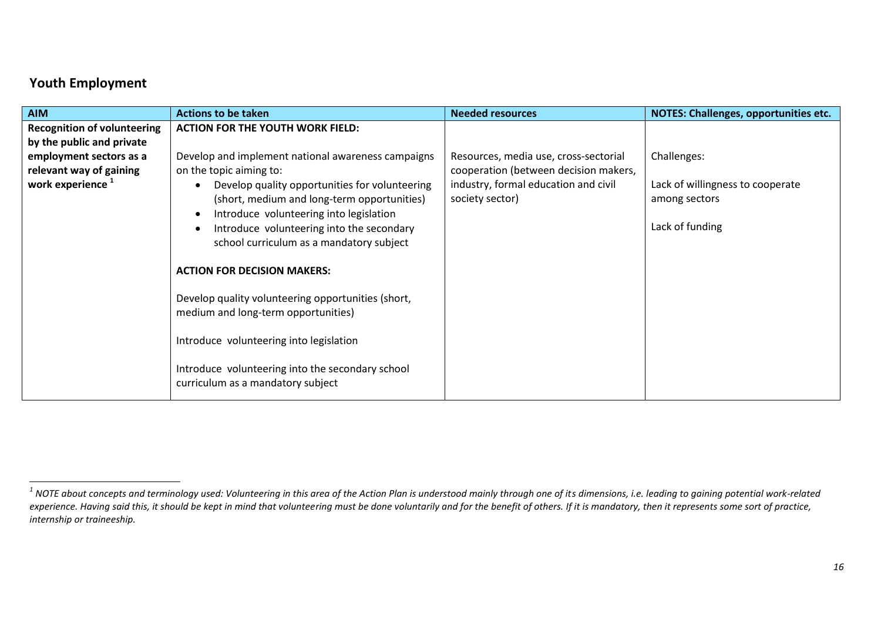### **Youth Employment**

| <b>AIM</b>                         | <b>Actions to be taken</b>                                                                | <b>Needed resources</b>               | <b>NOTES: Challenges, opportunities etc.</b> |
|------------------------------------|-------------------------------------------------------------------------------------------|---------------------------------------|----------------------------------------------|
| <b>Recognition of volunteering</b> | <b>ACTION FOR THE YOUTH WORK FIELD:</b>                                                   |                                       |                                              |
| by the public and private          |                                                                                           |                                       |                                              |
| employment sectors as a            | Develop and implement national awareness campaigns                                        | Resources, media use, cross-sectorial | Challenges:                                  |
| relevant way of gaining            | on the topic aiming to:                                                                   | cooperation (between decision makers, |                                              |
| work experience <sup>1</sup>       | Develop quality opportunities for volunteering                                            | industry, formal education and civil  | Lack of willingness to cooperate             |
|                                    | (short, medium and long-term opportunities)                                               | society sector)                       | among sectors                                |
|                                    | Introduce volunteering into legislation                                                   |                                       |                                              |
|                                    | Introduce volunteering into the secondary                                                 |                                       | Lack of funding                              |
|                                    | school curriculum as a mandatory subject                                                  |                                       |                                              |
|                                    | <b>ACTION FOR DECISION MAKERS:</b>                                                        |                                       |                                              |
|                                    | Develop quality volunteering opportunities (short,<br>medium and long-term opportunities) |                                       |                                              |
|                                    | Introduce volunteering into legislation                                                   |                                       |                                              |
|                                    | Introduce volunteering into the secondary school<br>curriculum as a mandatory subject     |                                       |                                              |

 *1 NOTE about concepts and terminology used: Volunteering in this area of the Action Plan is understood mainly through one of its dimensions, i.e. leading to gaining potential work-related*  experience. Having said this, it should be kept in mind that volunteering must be done voluntarily and for the benefit of others. If it is mandatory, then it represents some sort of practice, *internship or traineeship.*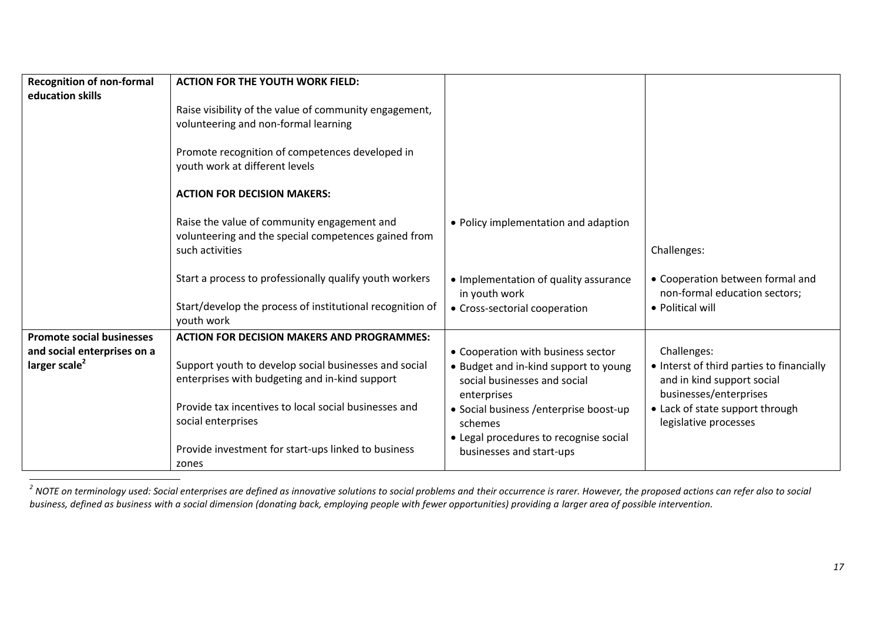| <b>Recognition of non-formal</b><br>education skills | <b>ACTION FOR THE YOUTH WORK FIELD:</b><br>Raise visibility of the value of community engagement,<br>volunteering and non-formal learning |                                                                                      |                                                                                                   |
|------------------------------------------------------|-------------------------------------------------------------------------------------------------------------------------------------------|--------------------------------------------------------------------------------------|---------------------------------------------------------------------------------------------------|
|                                                      | Promote recognition of competences developed in<br>youth work at different levels                                                         |                                                                                      |                                                                                                   |
|                                                      | <b>ACTION FOR DECISION MAKERS:</b>                                                                                                        |                                                                                      |                                                                                                   |
|                                                      | Raise the value of community engagement and<br>volunteering and the special competences gained from<br>such activities                    | • Policy implementation and adaption                                                 | Challenges:                                                                                       |
|                                                      | Start a process to professionally qualify youth workers                                                                                   | • Implementation of quality assurance<br>in youth work                               | • Cooperation between formal and<br>non-formal education sectors;                                 |
|                                                      | Start/develop the process of institutional recognition of<br>youth work                                                                   | • Cross-sectorial cooperation                                                        | • Political will                                                                                  |
| <b>Promote social businesses</b>                     | <b>ACTION FOR DECISION MAKERS AND PROGRAMMES:</b>                                                                                         |                                                                                      |                                                                                                   |
| and social enterprises on a                          |                                                                                                                                           | • Cooperation with business sector                                                   | Challenges:                                                                                       |
| larger scale <sup>2</sup>                            | Support youth to develop social businesses and social<br>enterprises with budgeting and in-kind support                                   | • Budget and in-kind support to young<br>social businesses and social<br>enterprises | • Interst of third parties to financially<br>and in kind support social<br>businesses/enterprises |
|                                                      | Provide tax incentives to local social businesses and<br>social enterprises                                                               | · Social business / enterprise boost-up<br>schemes                                   | • Lack of state support through<br>legislative processes                                          |
|                                                      | Provide investment for start-ups linked to business<br>zones                                                                              | • Legal procedures to recognise social<br>businesses and start-ups                   |                                                                                                   |

*2*<br><sup>2</sup> NOTE on terminology used: Social enterprises are defined as innovative solutions to social problems and their occurrence is rarer. However, the proposed actions can refer also to social *business, defined as business with a social dimension (donating back, employing people with fewer opportunities) providing a larger area of possible intervention.*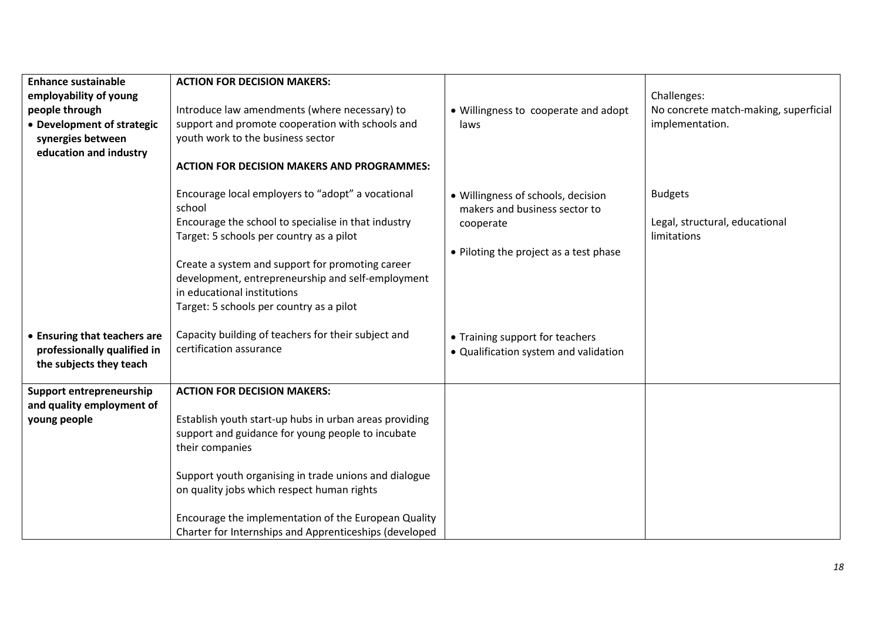| <b>Enhance sustainable</b><br>employability of young<br>people through<br>• Development of strategic<br>synergies between<br>education and industry | <b>ACTION FOR DECISION MAKERS:</b><br>Introduce law amendments (where necessary) to<br>support and promote cooperation with schools and<br>youth work to the business sector                                                                                                                                                                                                                  | • Willingness to cooperate and adopt<br>laws                                         | Challenges:<br>No concrete match-making, superficial<br>implementation. |
|-----------------------------------------------------------------------------------------------------------------------------------------------------|-----------------------------------------------------------------------------------------------------------------------------------------------------------------------------------------------------------------------------------------------------------------------------------------------------------------------------------------------------------------------------------------------|--------------------------------------------------------------------------------------|-------------------------------------------------------------------------|
|                                                                                                                                                     | <b>ACTION FOR DECISION MAKERS AND PROGRAMMES:</b><br>Encourage local employers to "adopt" a vocational                                                                                                                                                                                                                                                                                        | · Willingness of schools, decision                                                   | <b>Budgets</b>                                                          |
|                                                                                                                                                     | school<br>Encourage the school to specialise in that industry<br>Target: 5 schools per country as a pilot<br>Create a system and support for promoting career<br>development, entrepreneurship and self-employment<br>in educational institutions<br>Target: 5 schools per country as a pilot                                                                                                 | makers and business sector to<br>cooperate<br>• Piloting the project as a test phase | Legal, structural, educational<br>limitations                           |
| • Ensuring that teachers are<br>professionally qualified in<br>the subjects they teach                                                              | Capacity building of teachers for their subject and<br>certification assurance                                                                                                                                                                                                                                                                                                                | • Training support for teachers<br>• Qualification system and validation             |                                                                         |
| Support entrepreneurship<br>and quality employment of<br>young people                                                                               | <b>ACTION FOR DECISION MAKERS:</b><br>Establish youth start-up hubs in urban areas providing<br>support and guidance for young people to incubate<br>their companies<br>Support youth organising in trade unions and dialogue<br>on quality jobs which respect human rights<br>Encourage the implementation of the European Quality<br>Charter for Internships and Apprenticeships (developed |                                                                                      |                                                                         |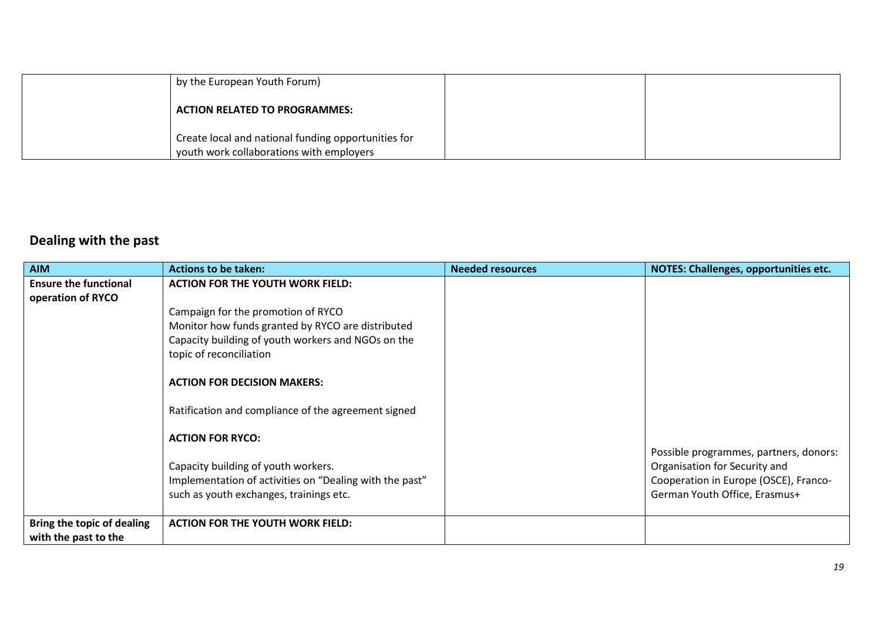| by the European Youth Forum)                                                                    |  |
|-------------------------------------------------------------------------------------------------|--|
| <b>ACTION RELATED TO PROGRAMMES:</b>                                                            |  |
| Create local and national funding opportunities for<br>youth work collaborations with employers |  |

# **Dealing with the past**

| <b>AIM</b>                                         | <b>Actions to be taken:</b>                             | <b>Needed resources</b> | <b>NOTES: Challenges, opportunities etc.</b> |
|----------------------------------------------------|---------------------------------------------------------|-------------------------|----------------------------------------------|
| <b>Ensure the functional</b>                       | <b>ACTION FOR THE YOUTH WORK FIELD:</b>                 |                         |                                              |
| operation of RYCO                                  |                                                         |                         |                                              |
|                                                    | Campaign for the promotion of RYCO                      |                         |                                              |
|                                                    | Monitor how funds granted by RYCO are distributed       |                         |                                              |
|                                                    | Capacity building of youth workers and NGOs on the      |                         |                                              |
|                                                    | topic of reconciliation                                 |                         |                                              |
|                                                    | <b>ACTION FOR DECISION MAKERS:</b>                      |                         |                                              |
|                                                    | Ratification and compliance of the agreement signed     |                         |                                              |
|                                                    | <b>ACTION FOR RYCO:</b>                                 |                         |                                              |
|                                                    |                                                         |                         | Possible programmes, partners, donors:       |
|                                                    | Capacity building of youth workers.                     |                         | Organisation for Security and                |
|                                                    | Implementation of activities on "Dealing with the past" |                         | Cooperation in Europe (OSCE), Franco-        |
|                                                    | such as youth exchanges, trainings etc.                 |                         | German Youth Office, Erasmus+                |
|                                                    |                                                         |                         |                                              |
| Bring the topic of dealing<br>with the past to the | <b>ACTION FOR THE YOUTH WORK FIELD:</b>                 |                         |                                              |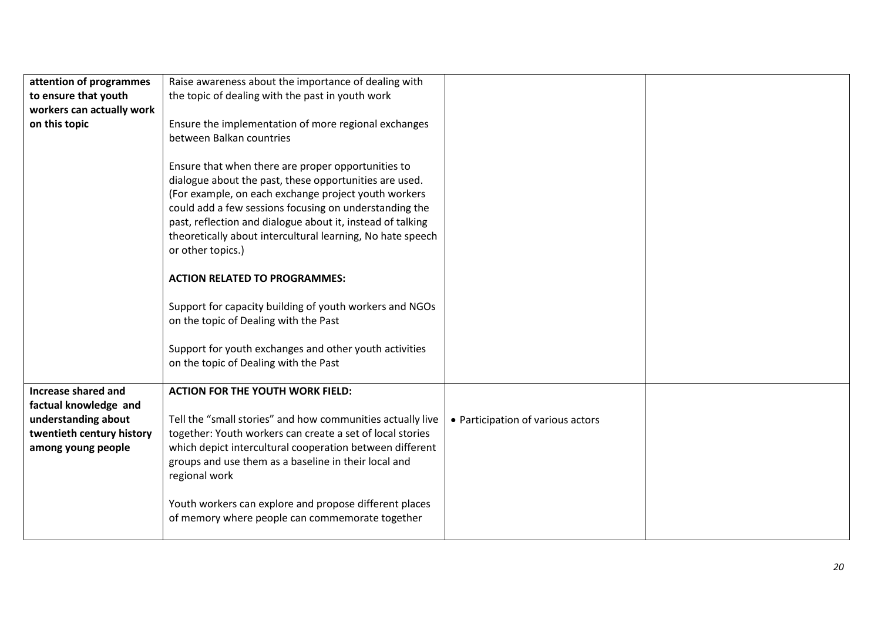| attention of programmes    | Raise awareness about the importance of dealing with                                             |                                   |  |
|----------------------------|--------------------------------------------------------------------------------------------------|-----------------------------------|--|
| to ensure that youth       | the topic of dealing with the past in youth work                                                 |                                   |  |
| workers can actually work  |                                                                                                  |                                   |  |
| on this topic              | Ensure the implementation of more regional exchanges                                             |                                   |  |
|                            | between Balkan countries                                                                         |                                   |  |
|                            |                                                                                                  |                                   |  |
|                            | Ensure that when there are proper opportunities to                                               |                                   |  |
|                            | dialogue about the past, these opportunities are used.                                           |                                   |  |
|                            | (For example, on each exchange project youth workers                                             |                                   |  |
|                            | could add a few sessions focusing on understanding the                                           |                                   |  |
|                            | past, reflection and dialogue about it, instead of talking                                       |                                   |  |
|                            | theoretically about intercultural learning, No hate speech                                       |                                   |  |
|                            | or other topics.)                                                                                |                                   |  |
|                            |                                                                                                  |                                   |  |
|                            | <b>ACTION RELATED TO PROGRAMMES:</b>                                                             |                                   |  |
|                            |                                                                                                  |                                   |  |
|                            | Support for capacity building of youth workers and NGOs<br>on the topic of Dealing with the Past |                                   |  |
|                            |                                                                                                  |                                   |  |
|                            | Support for youth exchanges and other youth activities                                           |                                   |  |
|                            | on the topic of Dealing with the Past                                                            |                                   |  |
|                            |                                                                                                  |                                   |  |
| <b>Increase shared and</b> | <b>ACTION FOR THE YOUTH WORK FIELD:</b>                                                          |                                   |  |
| factual knowledge and      |                                                                                                  |                                   |  |
| understanding about        | Tell the "small stories" and how communities actually live                                       | • Participation of various actors |  |
| twentieth century history  | together: Youth workers can create a set of local stories                                        |                                   |  |
| among young people         | which depict intercultural cooperation between different                                         |                                   |  |
|                            | groups and use them as a baseline in their local and                                             |                                   |  |
|                            | regional work                                                                                    |                                   |  |
|                            |                                                                                                  |                                   |  |
|                            | Youth workers can explore and propose different places                                           |                                   |  |
|                            | of memory where people can commemorate together                                                  |                                   |  |
|                            |                                                                                                  |                                   |  |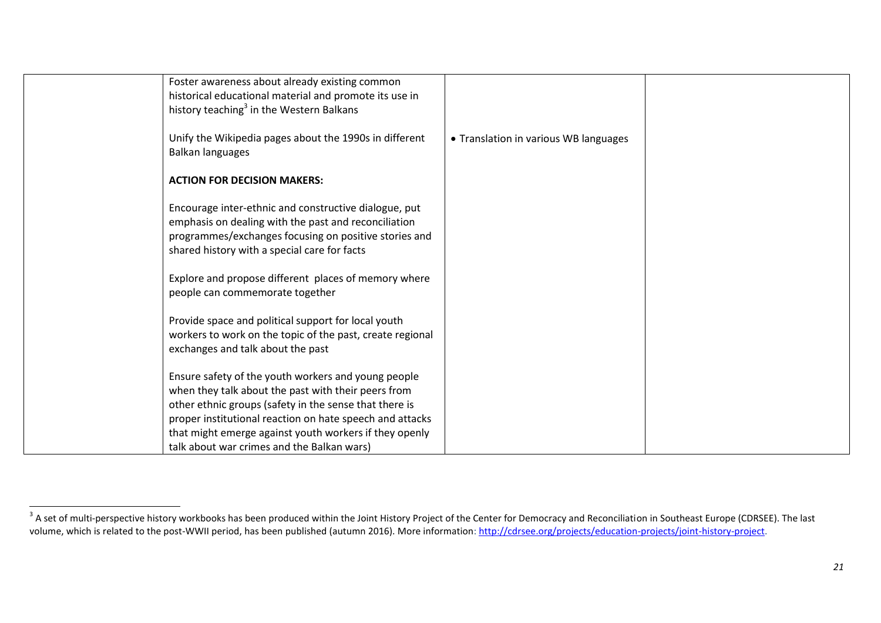| Foster awareness about already existing common<br>historical educational material and promote its use in                                                                                                               |                                       |  |
|------------------------------------------------------------------------------------------------------------------------------------------------------------------------------------------------------------------------|---------------------------------------|--|
| history teaching <sup>3</sup> in the Western Balkans                                                                                                                                                                   |                                       |  |
| Unify the Wikipedia pages about the 1990s in different<br>Balkan languages                                                                                                                                             | • Translation in various WB languages |  |
| <b>ACTION FOR DECISION MAKERS:</b>                                                                                                                                                                                     |                                       |  |
| Encourage inter-ethnic and constructive dialogue, put<br>emphasis on dealing with the past and reconciliation<br>programmes/exchanges focusing on positive stories and<br>shared history with a special care for facts |                                       |  |
| Explore and propose different places of memory where<br>people can commemorate together                                                                                                                                |                                       |  |
| Provide space and political support for local youth<br>workers to work on the topic of the past, create regional<br>exchanges and talk about the past                                                                  |                                       |  |
| Ensure safety of the youth workers and young people<br>when they talk about the past with their peers from                                                                                                             |                                       |  |
| other ethnic groups (safety in the sense that there is<br>proper institutional reaction on hate speech and attacks                                                                                                     |                                       |  |
| that might emerge against youth workers if they openly                                                                                                                                                                 |                                       |  |
| talk about war crimes and the Balkan wars)                                                                                                                                                                             |                                       |  |

**A**<br><sup>3</sup> A set of multi-perspective history workbooks has been produced within the Joint History Project of the Center for Democracy and Reconciliation in Southeast Europe (CDRSEE). The last volume, which is related to the post-WWII period, has been published (autumn 2016). More information[: http://cdrsee.org/projects/education-projects/joint-history-project.](http://cdrsee.org/projects/education-projects/joint-history-project)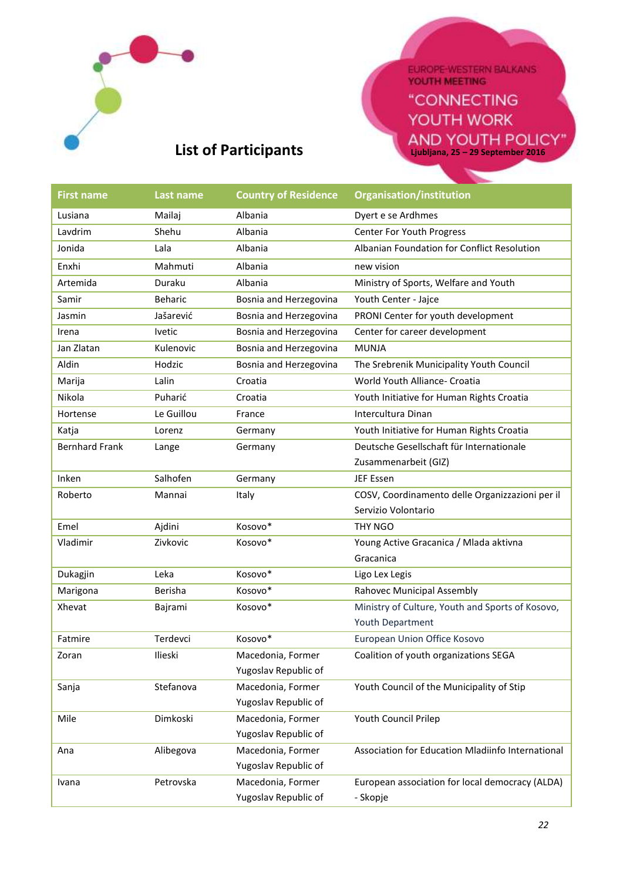

EUROPE-WESTERN BALKANS

"CONNECTING YOUTH WORK **Ljubljana, 25 – 29 September 2016**

# **List of Participants**

| <b>First name</b>     | Last name      | <b>Country of Residence</b> | Organisation/institution                          |
|-----------------------|----------------|-----------------------------|---------------------------------------------------|
| Lusiana               | Mailaj         | Albania                     | Dyert e se Ardhmes                                |
| Lavdrim               | Shehu          | Albania                     | <b>Center For Youth Progress</b>                  |
| Jonida                | Lala           | Albania                     | Albanian Foundation for Conflict Resolution       |
| Enxhi                 | Mahmuti        | Albania                     | new vision                                        |
| Artemida              | Duraku         | Albania                     | Ministry of Sports, Welfare and Youth             |
| Samir                 | <b>Beharic</b> | Bosnia and Herzegovina      | Youth Center - Jajce                              |
| Jasmin                | Jašarević      | Bosnia and Herzegovina      | PRONI Center for youth development                |
| Irena                 | <b>Ivetic</b>  | Bosnia and Herzegovina      | Center for career development                     |
| Jan Zlatan            | Kulenovic      | Bosnia and Herzegovina      | <b>MUNJA</b>                                      |
| Aldin                 | Hodzic         | Bosnia and Herzegovina      | The Srebrenik Municipality Youth Council          |
| Marija                | Lalin          | Croatia                     | World Youth Alliance- Croatia                     |
| Nikola                | Puharić        | Croatia                     | Youth Initiative for Human Rights Croatia         |
| Hortense              | Le Guillou     | France                      | Intercultura Dinan                                |
| Katja                 | Lorenz         | Germany                     | Youth Initiative for Human Rights Croatia         |
| <b>Bernhard Frank</b> | Lange          | Germany                     | Deutsche Gesellschaft für Internationale          |
|                       |                |                             | Zusammenarbeit (GIZ)                              |
| Inken                 | Salhofen       | Germany                     | JEF Essen                                         |
| Roberto               | Mannai         | Italy                       | COSV, Coordinamento delle Organizzazioni per il   |
|                       |                |                             | Servizio Volontario                               |
| Emel                  | Ajdini         | Kosovo*                     | THY NGO                                           |
| Vladimir              | Zivkovic       | Kosovo*                     | Young Active Gracanica / Mlada aktivna            |
|                       |                |                             | Gracanica                                         |
| Dukagjin              | Leka           | Kosovo*                     | Ligo Lex Legis                                    |
| Marigona              | Berisha        | Kosovo*                     | Rahovec Municipal Assembly                        |
| Xhevat                | Bajrami        | Kosovo*                     | Ministry of Culture, Youth and Sports of Kosovo,  |
|                       |                |                             | Youth Department                                  |
| Fatmire               | Terdevci       | Kosovo*                     | European Union Office Kosovo                      |
| Zoran                 | Ilieski        | Macedonia, Former           | Coalition of youth organizations SEGA             |
|                       |                | Yugoslav Republic of        |                                                   |
| Sanja                 | Stefanova      | Macedonia, Former           | Youth Council of the Municipality of Stip         |
|                       |                | Yugoslav Republic of        |                                                   |
| Mile                  | Dimkoski       | Macedonia, Former           | Youth Council Prilep                              |
|                       |                | Yugoslav Republic of        |                                                   |
| Ana                   | Alibegova      | Macedonia, Former           | Association for Education Mladiinfo International |
|                       |                | Yugoslav Republic of        |                                                   |
| Ivana                 | Petrovska      | Macedonia, Former           | European association for local democracy (ALDA)   |
|                       |                | Yugoslav Republic of        | - Skopje                                          |